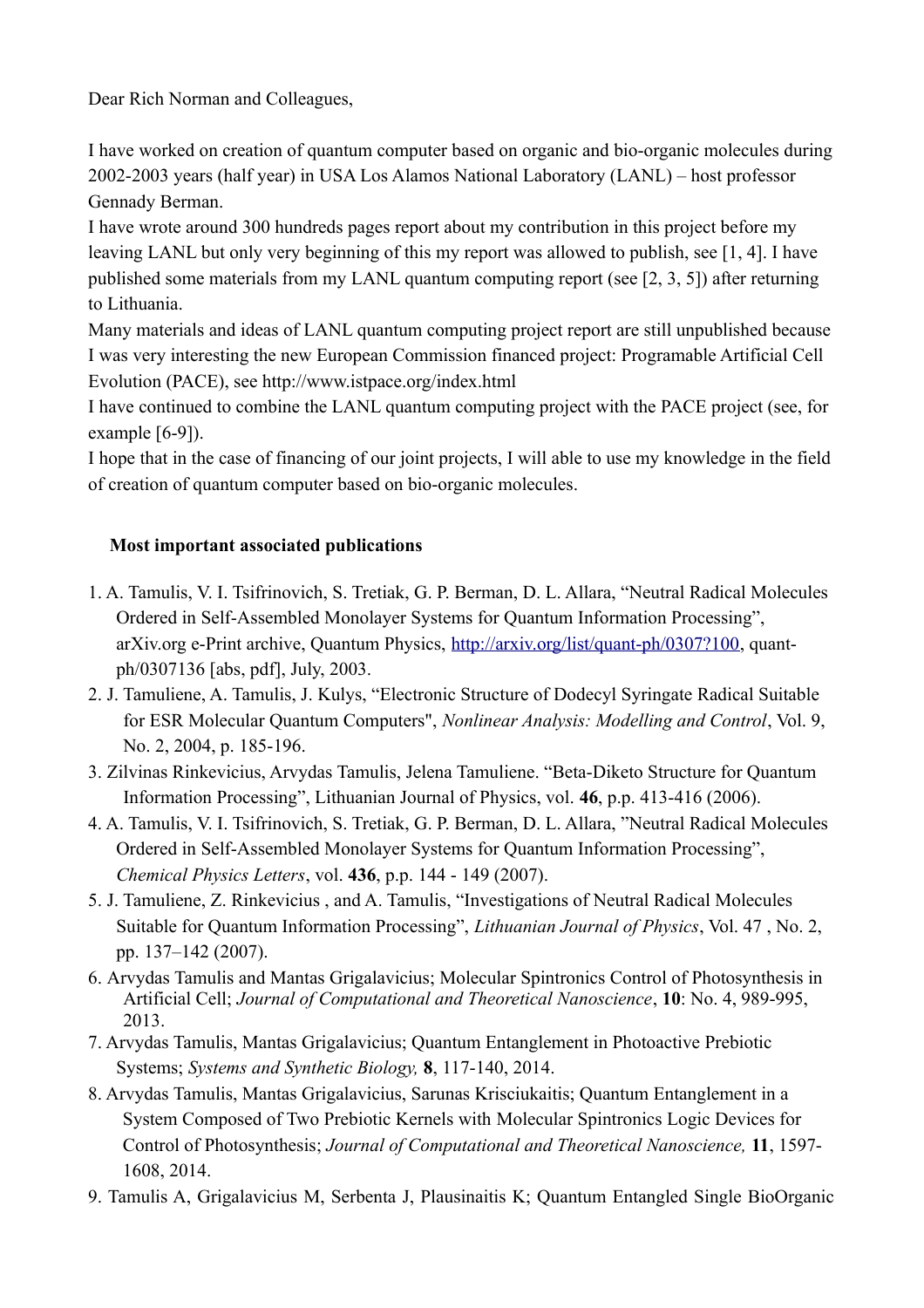Dear Rich Norman and Colleagues,

I have worked on creation of quantum computer based on organic and bio-organic molecules during 2002-2003 years (half year) in USA Los Alamos National Laboratory (LANL) – host professor Gennady Berman.

I have wrote around 300 hundreds pages report about my contribution in this project before my leaving LANL but only very beginning of this my report was allowed to publish, see [1, 4]. I have published some materials from my LANL quantum computing report (see [2, 3, 5]) after returning to Lithuania.

Many materials and ideas of LANL quantum computing project report are still unpublished because I was very interesting the new European Commission financed project: Programable Artificial Cell Evolution (PACE), see http://www.istpace.org/index.html

I have continued to combine the LANL quantum computing project with the PACE project (see, for example [6-9]).

I hope that in the case of financing of our joint projects, I will able to use my knowledge in the field of creation of quantum computer based on bio-organic molecules.

## **Most important associated publications**

- 1. A. Tamulis, V. I. Tsifrinovich, S. Tretiak, G. P. Berman, D. L. Allara, "Neutral Radical Molecules Ordered in Self-Assembled Monolayer Systems for Quantum Information Processing", arXiv.org e-Print archive, Quantum Physics, [http://arxiv.org/list/quant-ph/0307?100,](http://arxiv.org/list/quant-ph/0307?100) quantph/0307136 [abs, pdf], July, 2003.
- 2. J. Tamuliene, A. Tamulis, J. Kulys, "Electronic Structure of Dodecyl Syringate Radical Suitable for ESR Molecular Quantum Computers", *Nonlinear Analysis: Modelling and Control*, Vol. 9, No. 2, 2004, p. 185-196.
- 3. Zilvinas Rinkevicius, Arvydas Tamulis, Jelena Tamuliene. "Beta-Diketo Structure for Quantum Information Processing", Lithuanian Journal of Physics, vol. **46**, p.p. 413-416 (2006).
- 4. A. Tamulis, V. I. Tsifrinovich, S. Tretiak, G. P. Berman, D. L. Allara, "Neutral Radical Molecules Ordered in Self-Assembled Monolayer Systems for Quantum Information Processing", *Chemical Physics Letters*, vol. **436**, p.p. 144 - 149 (2007).
- 5. J. Tamuliene, Z. Rinkevicius , and A. Tamulis, "Investigations of Neutral Radical Molecules Suitable for Quantum Information Processing", *Lithuanian Journal of Physics*, Vol. 47 , No. 2, pp. 137–142 (2007).
- 6. Arvydas Tamulis and Mantas Grigalavicius; Molecular Spintronics Control of Photosynthesis in Artificial Cell; *Journal of Computational and Theoretical Nanoscience*, **10**: No. 4, 989-995, 2013.
- 7. Arvydas Tamulis, Mantas Grigalavicius; Quantum Entanglement in Photoactive Prebiotic Systems; *Systems and Synthetic Biology,* **8**, 117-140, 2014.
- 8. Arvydas Tamulis, Mantas Grigalavicius, Sarunas Krisciukaitis; Quantum Entanglement in a System Composed of Two Prebiotic Kernels with Molecular Spintronics Logic Devices for Control of Photosynthesis; *Journal of Computational and Theoretical Nanoscience,* **11**, 1597- 1608, 2014.
- 9. Tamulis A, Grigalavicius M, Serbenta J, Plausinaitis K; Quantum Entangled Single BioOrganic